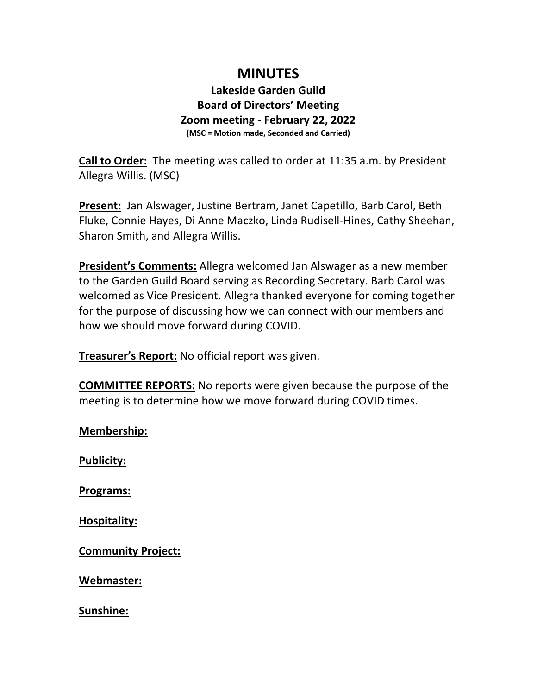## **MINUTES**

## **Lakeside Garden Guild Board of Directors' Meeting Zoom meeting - February 22, 2022 (MSC = Motion made, Seconded and Carried)**

**Call to Order:** The meeting was called to order at 11:35 a.m. by President Allegra Willis. (MSC)

**Present:** Jan Alswager, Justine Bertram, Janet Capetillo, Barb Carol, Beth Fluke, Connie Hayes, Di Anne Maczko, Linda Rudisell-Hines, Cathy Sheehan, Sharon Smith, and Allegra Willis.

**President's Comments:** Allegra welcomed Jan Alswager as a new member to the Garden Guild Board serving as Recording Secretary. Barb Carol was welcomed as Vice President. Allegra thanked everyone for coming together for the purpose of discussing how we can connect with our members and how we should move forward during COVID.

**Treasurer's Report:** No official report was given.

**COMMITTEE REPORTS:** No reports were given because the purpose of the meeting is to determine how we move forward during COVID times.

**Membership:**

**Publicity:**

**Programs:**

**Hospitality:**

**Community Project:**

**Webmaster:**

**Sunshine:**